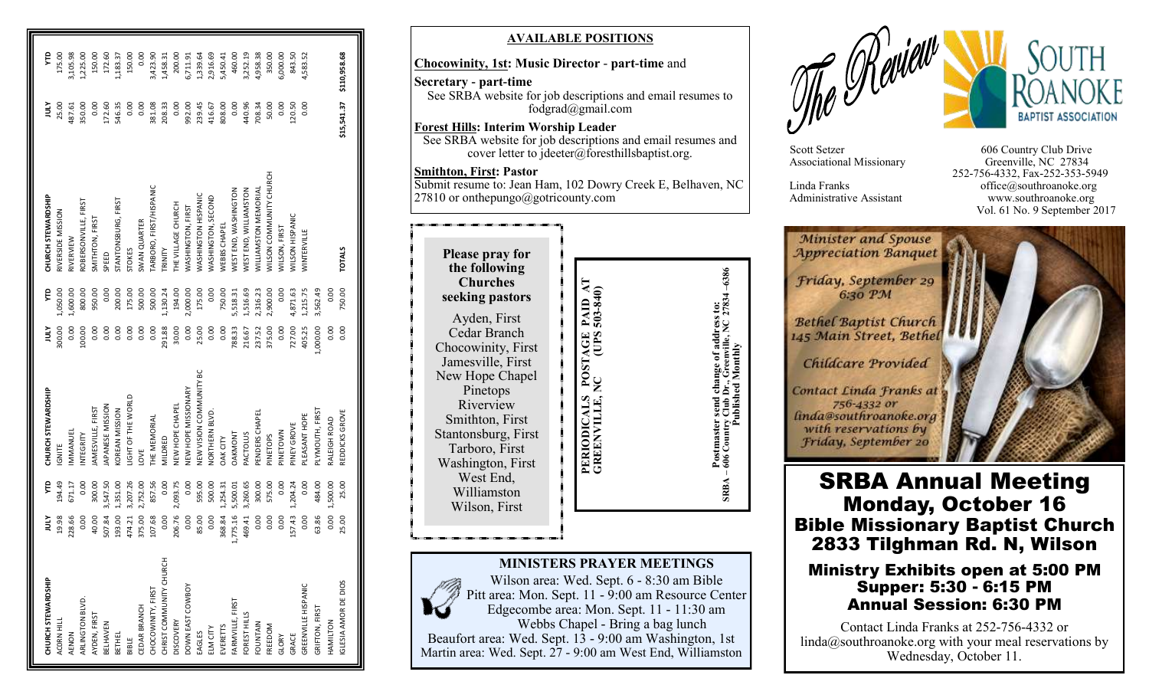| CHURCH STEWARDSHIP      | jщ       | Ê        | CHURCH STEWARDSHIP             | ξ              | ę        | CHURCH STEWARDSHIP             | Ř           | ę            |
|-------------------------|----------|----------|--------------------------------|----------------|----------|--------------------------------|-------------|--------------|
| ACORN HILL              | 19.98    | 194.49   | <b>IGNITE</b>                  | 300.00         | 1,050.00 | RIVERSIDE MISSION              | 25.00       | 175.00       |
| AENON                   | 228.66   | 671.17   | MMANUEL                        | 0.00           | 1,600.00 | RIVERVIEW                      | 187.61      | 3,105.98     |
| ARLINGTON BLVD.         | 0.00     | 0.00     | NTEGRITY                       | 100.00         | 800.00   | ROBERSONVILLE, FIRST           | 350.00      | 1,225.00     |
| AYDEN, FIRST            | 40.00    | 300.00   | AMESVILLE, FIRST               | 0.00           | 950.00   | SMITHTON, FIRST                | 0.00        | 150.00       |
| <b>BELHAVEN</b>         | 507.84   | 3,547.50 | APANESE MISSION                | $\frac{8}{10}$ | 0.00     | SPEED                          | 172.60      | 172.60       |
| BETHEL                  | 193.00   | 1,351.00 | <b>COREAN MISSION</b>          | 0.00           | 200.00   | STANTONSBURG, FIRST            | 546.35      | 1,183.37     |
| BIBLE                   | 474.21   | 3,207.26 | <b>JIGHT OF THE WORLD</b>      | 0.00           | 175.00   | <b>STOKES</b>                  | 0.00        | 150.00       |
| CEDAR BRANCH            | 375.00   | 2,752.00 | <b>JVC</b>                     | 0.00           | 500.00   | SWAN QUARTER                   | 0.00        | 0.00         |
| CHOCOWINITY, FIRST      | 107.68   | 857.56   | <b>HE MEMORIAL</b>             | 0.00           | 500.00   | ARBORO, FIRST/HISPANIC         | 381.08      | 3,423.90     |
| CHRIST COMMUNITY CHURCH | 0.00     | 0.00     | VILDRED                        | 291.88         | 1,130.24 | <b>ALINIA</b>                  | 208.33      | 1,458.31     |
| <b>DISCOVERY</b>        | 206.76   | 2,093.75 | <b>VEW HOPE CHAPEL</b>         | 30.00          | 194.00   | THE VILLAGE CHURCH             | 0.00        | 200.00       |
| DOWN EAST COWBOY        | 0.00     | 0.00     | <b>JEW HOPE MISSIONARY</b>     | 0.00           | 2,000.00 | WASHINGTON, FIRST              | 992.00      | 6,711.91     |
| EAGLES                  | 85.00    | 595.00   | <b>JEW VISION COMMUNITY BC</b> | 25.00          | 175.00   | <b>NASHINGTON HISPANIC</b>     | 239.45      | 1,339.64     |
| ELM CITY                | 0.00     | 500.00   | <b>JORTHERN BLVD.</b>          | 0.00           | 0.00     | <b>MASHINGTON, SECOND</b>      | 416.67      | 2,916.69     |
| <b>EVERETTS</b>         | 368.84   | 1,254.31 | DAK CITY                       | 0.00           | 750.00   | <b>NEBBS CHAPEI</b>            | 808.00      | 5,450.41     |
| FARMVILLE, FIRST        | 1,775.16 | 5,500.01 | DAKMONT                        | 788.33         | 5,518.31 | <b>NEST END, WASHINGTON</b>    | 0.00        | 460.00       |
| FOREST HILLS            | 469.41   | 3,260.65 | PACTOLUS                       | 216.67         | 1,516.69 | WEST END, WILLIAMSTON          | 440.96      | 3,252.19     |
| FOUNTAIN                | 0.00     | 300.00   | PENDERS CHAPEI                 | 237.52         | 2,316.23 | <b>MILLIAMSTON MEMORIAL</b>    | 708.34      | 4,958.38     |
| <b>FREEDOM</b>          | 0.00     | 575.00   | SIDETOPS                       | 375.00         | 2,900.00 | <b>VILSON COMMUNITY CHURCH</b> | 50.00       | 350.00       |
| GLORY                   | 0.00     | 0.00     | NWOL3NIc                       | 0.00           | 0.00     | WILSON, FIRST                  | 0.00        | 5,000.00     |
| GRACE                   | 157.43   | 1,204.24 | PINEY GROVE                    | 727.00         | 4,871.63 | <b><i>NILSON HISPANIC</i></b>  | 120.50      | 843.50       |
| GREENVILLE HISPANIC     | 0.00     | 0.00     | PLEASANT HOPE                  | 405.25         | 1,215.75 | WINTERVILLE                    | 0.00        | 4,583.52     |
| GRIFTON, FIRST          | 63.86    | 484.00   | PLYMOUTH, FIRST                | 1,000.00       | 3,562.49 |                                |             |              |
| HAMILTON                | 0.00     | 1,500.00 | RALEIGH ROAD                   | 0.00           | 0.00     |                                |             |              |
| GLESIA AMOR DE DIOS     | 25.00    | 25.00    | REDDICKS GROVE                 | 0.00           | 750.00   | <b>TOTALS</b>                  | \$15,541.37 | \$110,958.68 |

#### **AVAILABLE POSITIONS**

#### **Chocowinity, 1st: Music Director** - **part -time** and

**Secretary - part-time** See SRBA website for job descriptions and email resumes to fodgrad@gmail.com

**Forest Hills: Interim Worship Leader** See SRBA website for job descriptions and email resumes and cover letter to jdeeter@foresthillsbaptist.org.

**Smithton, First: Pastor**

Submit resume to: Jean Ham, 102 Dowry Creek E, Belhaven, NC  $27810$  or onthepungo@gotricounty.com

| <b>Please pray for</b><br>the following<br><b>Churches</b><br>seeking pastors<br>Ayden, First<br>Cedar Branch<br>Chocowinity, First<br>Jamesville, First<br>New Hope Chapel<br>Pinetops<br>Riverview<br>Smithton, First<br>Stantonsburg, First | POSTAGE PAID A<br>NC (UPS 503-840) | Published Monthly<br>send ch<br>å<br>Country |
|------------------------------------------------------------------------------------------------------------------------------------------------------------------------------------------------------------------------------------------------|------------------------------------|----------------------------------------------|
| Tarboro, First<br>Washington, First<br>West End,<br>Williamston<br>Wilson, First                                                                                                                                                               | PERIODICALS I<br>GREENVILLE, N     | Postmaster<br>606                            |

#### **MINISTERS PRAYER MEETINGS**

Wilson area: Wed. Sept. 6 - 8:30 am Bible Pitt area: Mon. Sept. 11 - 9:00 am Resource Center Edgecombe area: Mon. Sept. 11 - 11:30 am Webbs Chapel - Bring a bag lunch Beaufort area: Wed. Sept. 13 - 9:00 am Washington, 1st Martin area: Wed. Sept. 27 - 9:00 am West End, Williamston



Associational Missionary

Scott Setzer 606 Country Club Drive<br>Associational Missionary Greenville, NC 27834 252 -756 -4332, Fax -252 -353 -5949 Linda Franks office@southroanoke.org Administrative Assistant www.southroanoke.org Vol. 61 No. 9 September 2017

Minister and Spouse **Appreciation Banquet** Friday, September 29 6:30 PM **Bethel Baptist Church** 145 Main Street, Bethel Childcare Provided

Contact Linda Franks at 756-4332 or finda@southroanoke.org with reservations by Friday, September 20

# SRBA Annual Meeting Monday, October 16 Bible Missionary Baptist Church 2833 Tilghman Rd. N, Wilson

#### Ministry Exhibits open at 5:00 PM Supper: 5:30 - 6:15 PM Annual Session: 6:30 PM

Contact Linda Franks at 252 -756 -4332 or linda@southroanoke.org with your meal reservations by Wednesday, October 11.